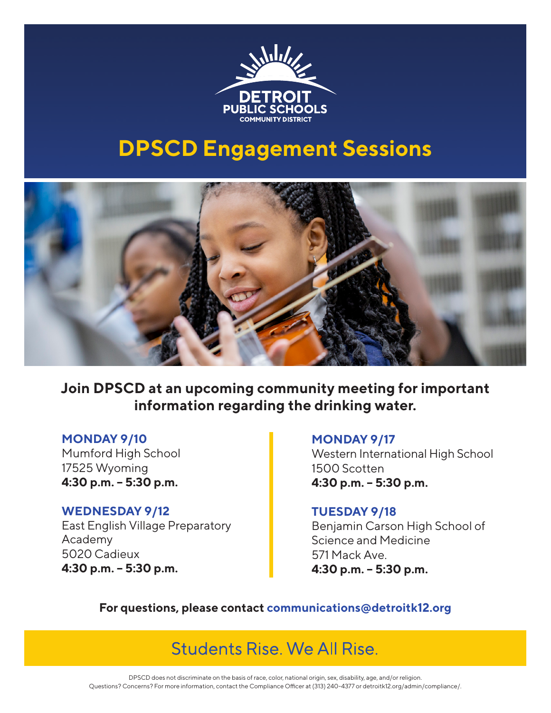

# **DPSCD Engagement Sessions**



**Join DPSCD at an upcoming community meeting for important information regarding the drinking water.**

#### **MONDAY 9/10**

Mumford High School 17525 Wyoming **4:30 p.m. – 5:30 p.m.**

## **WEDNESDAY 9/12**

East English Village Preparatory Academy 5020 Cadieux **4:30 p.m. – 5:30 p.m.**

#### **MONDAY 9/17**

Western International High School 1500 Scotten **4:30 p.m. – 5:30 p.m.**

#### **TUESDAY 9/18**

Benjamin Carson High School of Science and Medicine 571 Mack Ave. **4:30 p.m. – 5:30 p.m.**

**For questions, please contact communications@detroitk12.org**

Students Rise, We All Rise.

DPSCD does not discriminate on the basis of race, color, national origin, sex, disability, age, and/or religion. Questions? Concerns? For more information, contact the Compliance Officer at (313) 240-4377 or detroitk12.org/admin/compliance/.